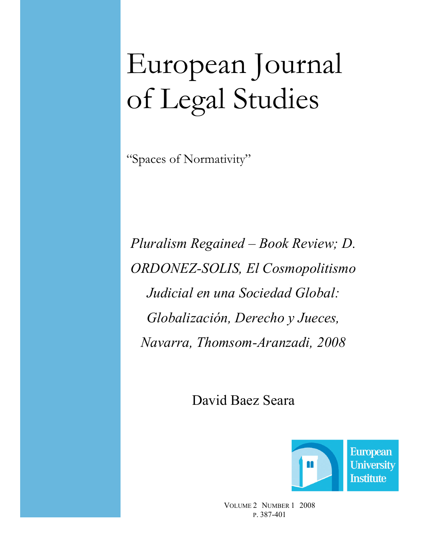# European Journal of Legal Studies

"Spaces of Normativity"

Pluralism Regained – Book Review; D. ORDONEZ-SOLIS, El Cosmopolitismo Judicial en una Sociedad Global: Globalización, Derecho y Jueces, avarra, Thomsom-Aranzadi, 2008

David Baez Seara



VOLUME 2 NUMBER 1 2008 P. 387-401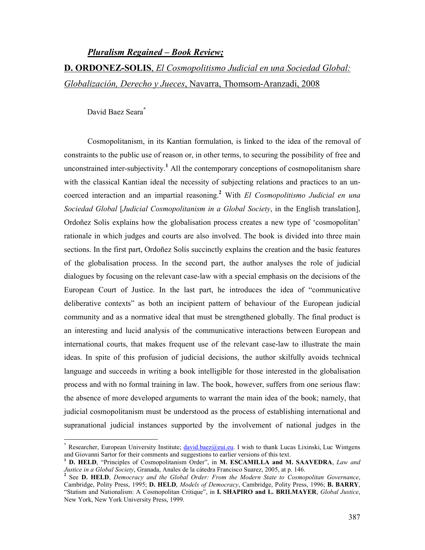# Pluralism Regained – Book Review;

D. ORDONEZ-SOLIS, El Cosmopolitismo Judicial en una Sociedad Global: Globalización, Derecho y Jueces, Navarra, Thomsom-Aranzadi, 2008

David Baez Seara\*

Cosmopolitanism, in its Kantian formulation, is linked to the idea of the removal of constraints to the public use of reason or, in other terms, to securing the possibility of free and unconstrained inter-subjectivity.<sup>1</sup> All the contemporary conceptions of cosmopolitanism share with the classical Kantian ideal the necessity of subjecting relations and practices to an uncoerced interaction and an impartial reasoning.<sup>2</sup> With El Cosmopolitismo Judicial en una Sociedad Global [Judicial Cosmopolitanism in a Global Society, in the English translation], Ordoñez Solís explains how the globalisation process creates a new type of 'cosmopolitan' rationale in which judges and courts are also involved. The book is divided into three main sections. In the first part, Ordoñez Solís succinctly explains the creation and the basic features of the globalisation process. In the second part, the author analyses the role of judicial dialogues by focusing on the relevant case-law with a special emphasis on the decisions of the European Court of Justice. In the last part, he introduces the idea of "communicative deliberative contexts" as both an incipient pattern of behaviour of the European judicial community and as a normative ideal that must be strengthened globally. The final product is an interesting and lucid analysis of the communicative interactions between European and international courts, that makes frequent use of the relevant case-law to illustrate the main ideas. In spite of this profusion of judicial decisions, the author skilfully avoids technical language and succeeds in writing a book intelligible for those interested in the globalisation process and with no formal training in law. The book, however, suffers from one serious flaw: the absence of more developed arguments to warrant the main idea of the book; namely, that judicial cosmopolitanism must be understood as the process of establishing international and supranational judicial instances supported by the involvement of national judges in the

<sup>\*&</sup>lt;br> **Researcher, European University Institute**; **david.baez@eui.eu.** I wish to thank Lucas Lixinski, Luc Wintgens and Giovanni Sartor for their comments and suggestions to earlier versions of this text.

<sup>&</sup>lt;sup>1</sup> D. HELD, "Principles of Cosmopolitanism Order", in M. ESCAMILLA and M. SAAVEDRA, Law and Justice in a Global Society, Granada, Anales de la cátedra Francisco Suarez, 2005, at p. 146.<br><sup>2</sup> See **D. HELD**, Demograsy and the Global Order: From the Modern State to Cosmor

See D. HELD, Democracy and the Global Order: From the Modern State to Cosmopolitan Governance, Cambridge, Polity Press, 1995; D. HELD, Models of Democracy, Cambridge, Polity Press, 1996; B. BARRY, "Statism and Nationalism: A Cosmopolitan Critique", in I. SHAPIRO and L. BRILMAYER, Global Justice, New York, New York University Press, 1999.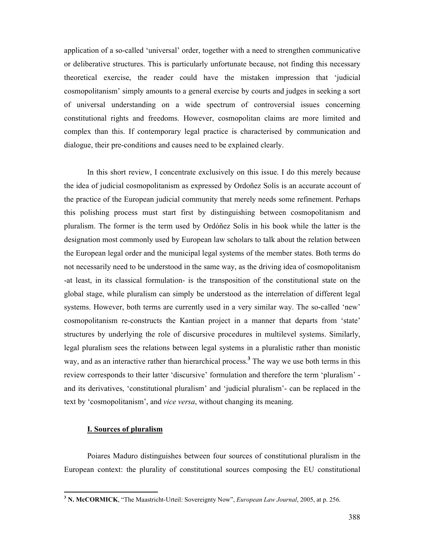application of a so-called 'universal' order, together with a need to strengthen communicative or deliberative structures. This is particularly unfortunate because, not finding this necessary theoretical exercise, the reader could have the mistaken impression that 'judicial cosmopolitanism' simply amounts to a general exercise by courts and judges in seeking a sort of universal understanding on a wide spectrum of controversial issues concerning constitutional rights and freedoms. However, cosmopolitan claims are more limited and complex than this. If contemporary legal practice is characterised by communication and dialogue, their pre-conditions and causes need to be explained clearly.

In this short review, I concentrate exclusively on this issue. I do this merely because the idea of judicial cosmopolitanism as expressed by Ordoñez Solís is an accurate account of the practice of the European judicial community that merely needs some refinement. Perhaps this polishing process must start first by distinguishing between cosmopolitanism and pluralism. The former is the term used by Ordóñez Solís in his book while the latter is the designation most commonly used by European law scholars to talk about the relation between the European legal order and the municipal legal systems of the member states. Both terms do not necessarily need to be understood in the same way, as the driving idea of cosmopolitanism -at least, in its classical formulation- is the transposition of the constitutional state on the global stage, while pluralism can simply be understood as the interrelation of different legal systems. However, both terms are currently used in a very similar way. The so-called 'new' cosmopolitanism re-constructs the Kantian project in a manner that departs from 'state' structures by underlying the role of discursive procedures in multilevel systems. Similarly, legal pluralism sees the relations between legal systems in a pluralistic rather than monistic way, and as an interactive rather than hierarchical process.<sup>3</sup> The way we use both terms in this review corresponds to their latter 'discursive' formulation and therefore the term 'pluralism' and its derivatives, 'constitutional pluralism' and 'judicial pluralism'- can be replaced in the text by 'cosmopolitanism', and vice versa, without changing its meaning.

#### I. Sources of pluralism

 $\overline{a}$ 

Poiares Maduro distinguishes between four sources of constitutional pluralism in the European context: the plurality of constitutional sources composing the EU constitutional

<sup>&</sup>lt;sup>3</sup> N. McCORMICK, "The Maastricht-Urteil: Sovereignty Now", *European Law Journal*, 2005, at p. 256.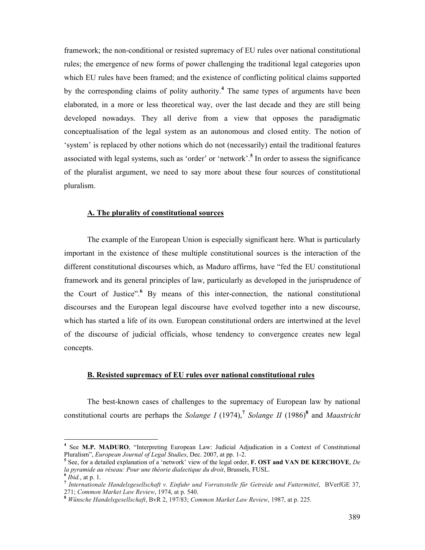framework; the non-conditional or resisted supremacy of EU rules over national constitutional rules; the emergence of new forms of power challenging the traditional legal categories upon which EU rules have been framed; and the existence of conflicting political claims supported by the corresponding claims of polity authority.<sup>4</sup> The same types of arguments have been elaborated, in a more or less theoretical way, over the last decade and they are still being developed nowadays. They all derive from a view that opposes the paradigmatic conceptualisation of the legal system as an autonomous and closed entity. The notion of 'system' is replaced by other notions which do not (necessarily) entail the traditional features associated with legal systems, such as 'order' or 'network'.<sup>5</sup> In order to assess the significance of the pluralist argument, we need to say more about these four sources of constitutional pluralism.

#### A. The plurality of constitutional sources

The example of the European Union is especially significant here. What is particularly important in the existence of these multiple constitutional sources is the interaction of the different constitutional discourses which, as Maduro affirms, have "fed the EU constitutional framework and its general principles of law, particularly as developed in the jurisprudence of the Court of Justice". By means of this inter-connection, the national constitutional discourses and the European legal discourse have evolved together into a new discourse, which has started a life of its own. European constitutional orders are intertwined at the level of the discourse of judicial officials, whose tendency to convergence creates new legal concepts.

#### B. Resisted supremacy of EU rules over national constitutional rules

The best-known cases of challenges to the supremacy of European law by national constitutional courts are perhaps the Solange I (1974),<sup>7</sup> Solange II (1986)<sup>8</sup> and Maastricht

 4 See M.P. MADURO, "Interpreting European Law: Judicial Adjudication in a Context of Constitutional Pluralism", European Journal of Legal Studies, Dec. 2007, at pp. 1-2.

<sup>&</sup>lt;sup>5</sup> See, for a detailed explanation of a 'network' view of the legal order, **F. OST and VAN DE KERCHOVE**, De la pyramide au réseau: Pour une théorie dialectique du droit, Brussels, FUSL.

<sup>6</sup>  $Ibid., at p. 1.$ 

<sup>&</sup>lt;sup>7</sup> Internationale Handelsgesellschaft v. Einfuhr und Vorratsstelle für Getreide und Futtermittel, BVerfGE 37, 271; Common Market Law Review, 1974, at p. 540.

<sup>8</sup> Wünsche Handelsgesellschaft, BvR 2, 197/83; Common Market Law Review, 1987, at p. 225.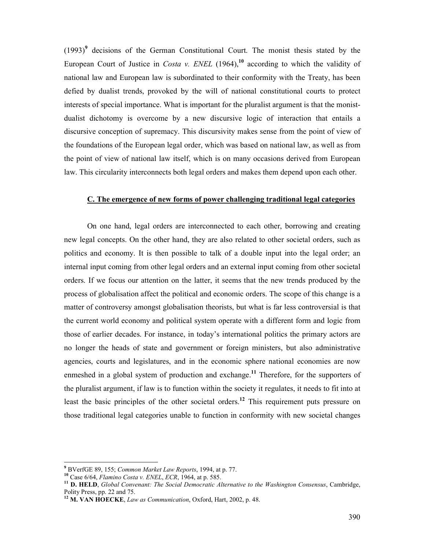$(1993)^9$  decisions of the German Constitutional Court. The monist thesis stated by the European Court of Justice in *Costa v. ENEL* (1964),<sup>10</sup> according to which the validity of national law and European law is subordinated to their conformity with the Treaty, has been defied by dualist trends, provoked by the will of national constitutional courts to protect interests of special importance. What is important for the pluralist argument is that the monistdualist dichotomy is overcome by a new discursive logic of interaction that entails a discursive conception of supremacy. This discursivity makes sense from the point of view of the foundations of the European legal order, which was based on national law, as well as from the point of view of national law itself, which is on many occasions derived from European law. This circularity interconnects both legal orders and makes them depend upon each other.

#### C. The emergence of new forms of power challenging traditional legal categories

On one hand, legal orders are interconnected to each other, borrowing and creating new legal concepts. On the other hand, they are also related to other societal orders, such as politics and economy. It is then possible to talk of a double input into the legal order; an internal input coming from other legal orders and an external input coming from other societal orders. If we focus our attention on the latter, it seems that the new trends produced by the process of globalisation affect the political and economic orders. The scope of this change is a matter of controversy amongst globalisation theorists, but what is far less controversial is that the current world economy and political system operate with a different form and logic from those of earlier decades. For instance, in today's international politics the primary actors are no longer the heads of state and government or foreign ministers, but also administrative agencies, courts and legislatures, and in the economic sphere national economies are now enmeshed in a global system of production and exchange.<sup>11</sup> Therefore, for the supporters of the pluralist argument, if law is to function within the society it regulates, it needs to fit into at least the basic principles of the other societal orders.<sup>12</sup> This requirement puts pressure on those traditional legal categories unable to function in conformity with new societal changes

<sup>&</sup>lt;sup>9</sup> BVerfGE 89, 155; Common Market Law Reports, 1994, at p. 77.

 $10$  Case 6/64, Flamino Costa v. ENEL, ECR, 1964, at p. 585.

 $11$  D. HELD, Global Convenant: The Social Democratic Alternative to the Washington Consensus, Cambridge, Polity Press, pp. 22 and 75.

 $12$  M. VAN HOECKE, Law as Communication, Oxford, Hart, 2002, p. 48.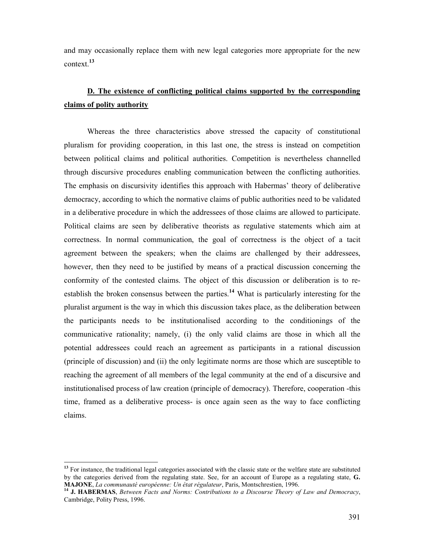and may occasionally replace them with new legal categories more appropriate for the new context.<sup>13</sup>

# D. The existence of conflicting political claims supported by the corresponding claims of polity authority

Whereas the three characteristics above stressed the capacity of constitutional pluralism for providing cooperation, in this last one, the stress is instead on competition between political claims and political authorities. Competition is nevertheless channelled through discursive procedures enabling communication between the conflicting authorities. The emphasis on discursivity identifies this approach with Habermas' theory of deliberative democracy, according to which the normative claims of public authorities need to be validated in a deliberative procedure in which the addressees of those claims are allowed to participate. Political claims are seen by deliberative theorists as regulative statements which aim at correctness. In normal communication, the goal of correctness is the object of a tacit agreement between the speakers; when the claims are challenged by their addressees, however, then they need to be justified by means of a practical discussion concerning the conformity of the contested claims. The object of this discussion or deliberation is to reestablish the broken consensus between the parties.<sup>14</sup> What is particularly interesting for the pluralist argument is the way in which this discussion takes place, as the deliberation between the participants needs to be institutionalised according to the conditionings of the communicative rationality; namely, (i) the only valid claims are those in which all the potential addressees could reach an agreement as participants in a rational discussion (principle of discussion) and (ii) the only legitimate norms are those which are susceptible to reaching the agreement of all members of the legal community at the end of a discursive and institutionalised process of law creation (principle of democracy). Therefore, cooperation -this time, framed as a deliberative process- is once again seen as the way to face conflicting claims.

<sup>&</sup>lt;sup>13</sup> For instance, the traditional legal categories associated with the classic state or the welfare state are substituted by the categories derived from the regulating state. See, for an account of Europe as a regulating state, G. MAJONE, La communauté européenne: Un état régulateur, Paris, Montschrestien, 1996.

<sup>&</sup>lt;sup>14</sup> J. HABERMAS, Between Facts and Norms: Contributions to a Discourse Theory of Law and Democracy, Cambridge, Polity Press, 1996.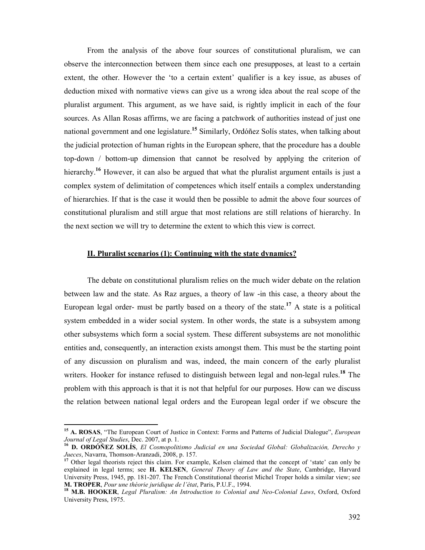From the analysis of the above four sources of constitutional pluralism, we can observe the interconnection between them since each one presupposes, at least to a certain extent, the other. However the 'to a certain extent' qualifier is a key issue, as abuses of deduction mixed with normative views can give us a wrong idea about the real scope of the pluralist argument. This argument, as we have said, is rightly implicit in each of the four sources. As Allan Rosas affirms, we are facing a patchwork of authorities instead of just one national government and one legislature.<sup>15</sup> Similarly, Ordóñez Solís states, when talking about the judicial protection of human rights in the European sphere, that the procedure has a double top-down / bottom-up dimension that cannot be resolved by applying the criterion of hierarchy.<sup>16</sup> However, it can also be argued that what the pluralist argument entails is just a complex system of delimitation of competences which itself entails a complex understanding of hierarchies. If that is the case it would then be possible to admit the above four sources of constitutional pluralism and still argue that most relations are still relations of hierarchy. In the next section we will try to determine the extent to which this view is correct.

#### II. Pluralist scenarios (1): Continuing with the state dynamics?

The debate on constitutional pluralism relies on the much wider debate on the relation between law and the state. As Raz argues, a theory of law -in this case, a theory about the European legal order- must be partly based on a theory of the state.<sup>17</sup> A state is a political system embedded in a wider social system. In other words, the state is a subsystem among other subsystems which form a social system. These different subsystems are not monolithic entities and, consequently, an interaction exists amongst them. This must be the starting point of any discussion on pluralism and was, indeed, the main concern of the early pluralist writers. Hooker for instance refused to distinguish between legal and non-legal rules.<sup>18</sup> The problem with this approach is that it is not that helpful for our purposes. How can we discuss the relation between national legal orders and the European legal order if we obscure the

<sup>&</sup>lt;sup>15</sup> A. ROSAS, "The European Court of Justice in Context: Forms and Patterns of Judicial Dialogue", European Journal of Legal Studies, Dec. 2007, at p. 1.

<sup>&</sup>lt;sup>16</sup> D. ORDÓÑEZ SOLÍS, El Cosmopolitismo Judicial en una Sociedad Global: Globalización, Derecho y Jueces, Navarra, Thomson-Aranzadi, 2008, p. 157.

<sup>&</sup>lt;sup>17</sup> Other legal theorists reject this claim. For example, Kelsen claimed that the concept of 'state' can only be explained in legal terms; see H. KELSEN, General Theory of Law and the State, Cambridge, Harvard University Press, 1945, pp. 181-207. The French Constitutional theorist Michel Troper holds a similar view; see M. TROPER, Pour une théorie juridique de l'état, Paris, P.U.F., 1994.

<sup>&</sup>lt;sup>18</sup> M.B. HOOKER, Legal Pluralism: An Introduction to Colonial and Neo-Colonial Laws, Oxford, Oxford University Press, 1975.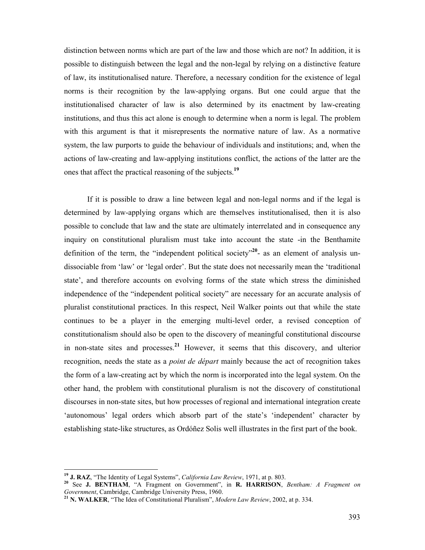distinction between norms which are part of the law and those which are not? In addition, it is possible to distinguish between the legal and the non-legal by relying on a distinctive feature of law, its institutionalised nature. Therefore, a necessary condition for the existence of legal norms is their recognition by the law-applying organs. But one could argue that the institutionalised character of law is also determined by its enactment by law-creating institutions, and thus this act alone is enough to determine when a norm is legal. The problem with this argument is that it misrepresents the normative nature of law. As a normative system, the law purports to guide the behaviour of individuals and institutions; and, when the actions of law-creating and law-applying institutions conflict, the actions of the latter are the ones that affect the practical reasoning of the subjects.<sup>19</sup>

If it is possible to draw a line between legal and non-legal norms and if the legal is determined by law-applying organs which are themselves institutionalised, then it is also possible to conclude that law and the state are ultimately interrelated and in consequence any inquiry on constitutional pluralism must take into account the state -in the Benthamite definition of the term, the "independent political society"<sup>20</sup>- as an element of analysis undissociable from 'law' or 'legal order'. But the state does not necessarily mean the 'traditional state', and therefore accounts on evolving forms of the state which stress the diminished independence of the "independent political society" are necessary for an accurate analysis of pluralist constitutional practices. In this respect, Neil Walker points out that while the state continues to be a player in the emerging multi-level order, a revised conception of constitutionalism should also be open to the discovery of meaningful constitutional discourse in non-state sites and processes.<sup>21</sup> However, it seems that this discovery, and ulterior recognition, needs the state as a *point de départ* mainly because the act of recognition takes the form of a law-creating act by which the norm is incorporated into the legal system. On the other hand, the problem with constitutional pluralism is not the discovery of constitutional discourses in non-state sites, but how processes of regional and international integration create 'autonomous' legal orders which absorb part of the state's 'independent' character by establishing state-like structures, as Ordóñez Solis well illustrates in the first part of the book.

<sup>&</sup>lt;sup>19</sup> J. RAZ, "The Identity of Legal Systems", *California Law Review*, 1971, at p. 803.

<sup>&</sup>lt;sup>20</sup> See J. BENTHAM, "A Fragment on Government", in R. HARRISON, Bentham: A Fragment on Government, Cambridge, Cambridge University Press, 1960.

<sup>&</sup>lt;sup>21</sup> N. WALKER, "The Idea of Constitutional Pluralism", *Modern Law Review*, 2002, at p. 334.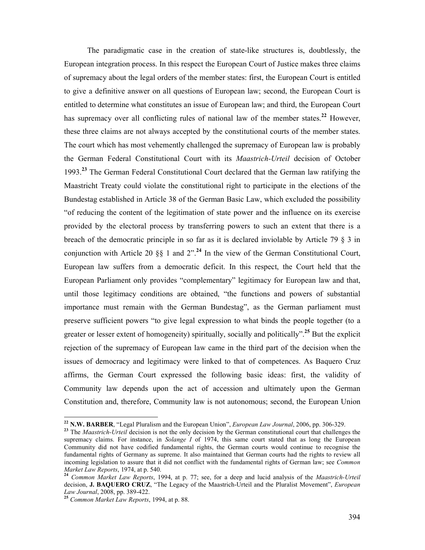The paradigmatic case in the creation of state-like structures is, doubtlessly, the European integration process. In this respect the European Court of Justice makes three claims of supremacy about the legal orders of the member states: first, the European Court is entitled to give a definitive answer on all questions of European law; second, the European Court is entitled to determine what constitutes an issue of European law; and third, the European Court has supremacy over all conflicting rules of national law of the member states.<sup>22</sup> However, these three claims are not always accepted by the constitutional courts of the member states. The court which has most vehemently challenged the supremacy of European law is probably the German Federal Constitutional Court with its Maastrich-Urteil decision of October 1993.<sup>23</sup> The German Federal Constitutional Court declared that the German law ratifying the Maastricht Treaty could violate the constitutional right to participate in the elections of the Bundestag established in Article 38 of the German Basic Law, which excluded the possibility "of reducing the content of the legitimation of state power and the influence on its exercise provided by the electoral process by transferring powers to such an extent that there is a breach of the democratic principle in so far as it is declared inviolable by Article 79 § 3 in conjunction with Article 20 §§ 1 and  $2^{n}$ .<sup>24</sup> In the view of the German Constitutional Court, European law suffers from a democratic deficit. In this respect, the Court held that the European Parliament only provides "complementary" legitimacy for European law and that, until those legitimacy conditions are obtained, "the functions and powers of substantial importance must remain with the German Bundestag", as the German parliament must preserve sufficient powers "to give legal expression to what binds the people together (to a greater or lesser extent of homogeneity) spiritually, socially and politically".<sup>25</sup> But the explicit rejection of the supremacy of European law came in the third part of the decision when the issues of democracy and legitimacy were linked to that of competences. As Baquero Cruz affirms, the German Court expressed the following basic ideas: first, the validity of Community law depends upon the act of accession and ultimately upon the German Constitution and, therefore, Community law is not autonomous; second, the European Union

<sup>&</sup>lt;sup>22</sup> N.W. BARBER, "Legal Pluralism and the European Union", *European Law Journal*, 2006, pp. 306-329.

<sup>&</sup>lt;sup>23</sup> The *Maastrich-Urteil* decision is not the only decision by the German constitutional court that challenges the supremacy claims. For instance, in Solange  $I$  of 1974, this same court stated that as long the European Community did not have codified fundamental rights, the German courts would continue to recognise the fundamental rights of Germany as supreme. It also maintained that German courts had the rights to review all incoming legislation to assure that it did not conflict with the fundamental rights of German law; see *Common* Market Law Reports, 1974, at p. 540.

<sup>&</sup>lt;sup>24</sup> Common Market Law Reports, 1994, at p. 77; see, for a deep and lucid analysis of the Maastrich-Urteil decision, **J. BAQUERO CRUZ**, "The Legacy of the Maastrich-Urteil and the Pluralist Movement", *European* Law Journal, 2008, pp. 389-422.

<sup>&</sup>lt;sup>25</sup> Common Market Law Reports, 1994, at p. 88.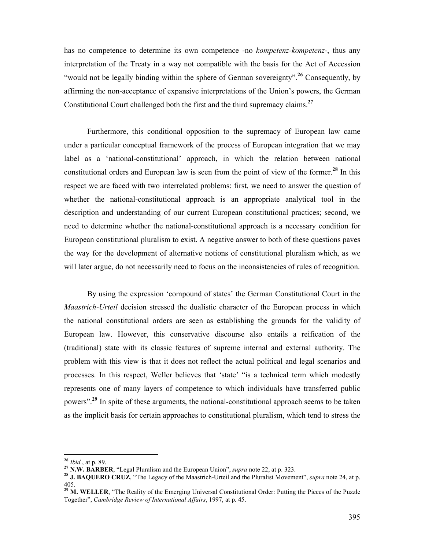has no competence to determine its own competence -no *kompetenz-kompetenz*-, thus any interpretation of the Treaty in a way not compatible with the basis for the Act of Accession "would not be legally binding within the sphere of German sovereignty".<sup>26</sup> Consequently, by affirming the non-acceptance of expansive interpretations of the Union's powers, the German Constitutional Court challenged both the first and the third supremacy claims.<sup>27</sup>

Furthermore, this conditional opposition to the supremacy of European law came under a particular conceptual framework of the process of European integration that we may label as a 'national-constitutional' approach, in which the relation between national constitutional orders and European law is seen from the point of view of the former.<sup>28</sup> In this respect we are faced with two interrelated problems: first, we need to answer the question of whether the national-constitutional approach is an appropriate analytical tool in the description and understanding of our current European constitutional practices; second, we need to determine whether the national-constitutional approach is a necessary condition for European constitutional pluralism to exist. A negative answer to both of these questions paves the way for the development of alternative notions of constitutional pluralism which, as we will later argue, do not necessarily need to focus on the inconsistencies of rules of recognition.

By using the expression 'compound of states' the German Constitutional Court in the Maastrich-Urteil decision stressed the dualistic character of the European process in which the national constitutional orders are seen as establishing the grounds for the validity of European law. However, this conservative discourse also entails a reification of the (traditional) state with its classic features of supreme internal and external authority. The problem with this view is that it does not reflect the actual political and legal scenarios and processes. In this respect, Weller believes that 'state' "is a technical term which modestly represents one of many layers of competence to which individuals have transferred public powers"<sup>29</sup>. In spite of these arguments, the national-constitutional approach seems to be taken as the implicit basis for certain approaches to constitutional pluralism, which tend to stress the

<sup>&</sup>lt;sup>26</sup> *Ibid.*, at p. 89.

<sup>&</sup>lt;sup>27</sup> N.W. BARBER, "Legal Pluralism and the European Union", *supra* note 22, at p. 323.

<sup>&</sup>lt;sup>28</sup> J. BAQUERO CRUZ, "The Legacy of the Maastrich-Urteil and the Pluralist Movement", supra note 24, at p. 405.

<sup>&</sup>lt;sup>29</sup> M. WELLER, "The Reality of the Emerging Universal Constitutional Order: Putting the Pieces of the Puzzle Together", Cambridge Review of International Affairs, 1997, at p. 45.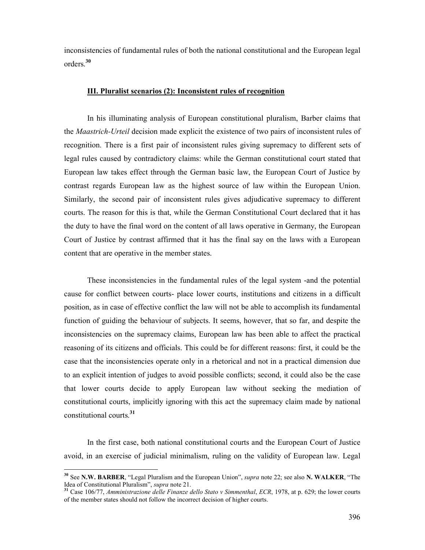inconsistencies of fundamental rules of both the national constitutional and the European legal orders.<sup>30</sup>

#### III. Pluralist scenarios (2): Inconsistent rules of recognition

In his illuminating analysis of European constitutional pluralism, Barber claims that the Maastrich-Urteil decision made explicit the existence of two pairs of inconsistent rules of recognition. There is a first pair of inconsistent rules giving supremacy to different sets of legal rules caused by contradictory claims: while the German constitutional court stated that European law takes effect through the German basic law, the European Court of Justice by contrast regards European law as the highest source of law within the European Union. Similarly, the second pair of inconsistent rules gives adjudicative supremacy to different courts. The reason for this is that, while the German Constitutional Court declared that it has the duty to have the final word on the content of all laws operative in Germany, the European Court of Justice by contrast affirmed that it has the final say on the laws with a European content that are operative in the member states.

These inconsistencies in the fundamental rules of the legal system -and the potential cause for conflict between courts- place lower courts, institutions and citizens in a difficult position, as in case of effective conflict the law will not be able to accomplish its fundamental function of guiding the behaviour of subjects. It seems, however, that so far, and despite the inconsistencies on the supremacy claims, European law has been able to affect the practical reasoning of its citizens and officials. This could be for different reasons: first, it could be the case that the inconsistencies operate only in a rhetorical and not in a practical dimension due to an explicit intention of judges to avoid possible conflicts; second, it could also be the case that lower courts decide to apply European law without seeking the mediation of constitutional courts, implicitly ignoring with this act the supremacy claim made by national constitutional courts.<sup>31</sup>

In the first case, both national constitutional courts and the European Court of Justice avoid, in an exercise of judicial minimalism, ruling on the validity of European law. Legal

<sup>&</sup>lt;sup>30</sup> See N.W. BARBER, "Legal Pluralism and the European Union", *supra* note 22; see also N. WALKER, "The Idea of Constitutional Pluralism", supra note 21.

<sup>&</sup>lt;sup>31</sup> Case 106/77, Amministrazione delle Finanze dello Stato v Simmenthal, ECR, 1978, at p. 629; the lower courts of the member states should not follow the incorrect decision of higher courts.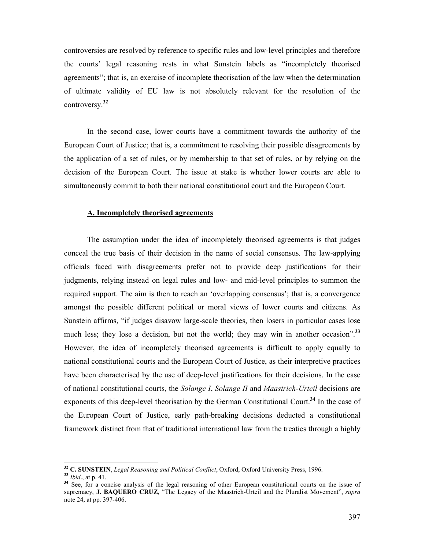controversies are resolved by reference to specific rules and low-level principles and therefore the courts' legal reasoning rests in what Sunstein labels as "incompletely theorised agreements"; that is, an exercise of incomplete theorisation of the law when the determination of ultimate validity of EU law is not absolutely relevant for the resolution of the controversy.<sup>32</sup>

In the second case, lower courts have a commitment towards the authority of the European Court of Justice; that is, a commitment to resolving their possible disagreements by the application of a set of rules, or by membership to that set of rules, or by relying on the decision of the European Court. The issue at stake is whether lower courts are able to simultaneously commit to both their national constitutional court and the European Court.

#### A. Incompletely theorised agreements

The assumption under the idea of incompletely theorised agreements is that judges conceal the true basis of their decision in the name of social consensus. The law-applying officials faced with disagreements prefer not to provide deep justifications for their judgments, relying instead on legal rules and low- and mid-level principles to summon the required support. The aim is then to reach an 'overlapping consensus'; that is, a convergence amongst the possible different political or moral views of lower courts and citizens. As Sunstein affirms, "if judges disavow large-scale theories, then losers in particular cases lose much less; they lose a decision, but not the world; they may win in another occasion".<sup>33</sup> However, the idea of incompletely theorised agreements is difficult to apply equally to national constitutional courts and the European Court of Justice, as their interpretive practices have been characterised by the use of deep-level justifications for their decisions. In the case of national constitutional courts, the Solange I, Solange II and Maastrich-Urteil decisions are exponents of this deep-level theorisation by the German Constitutional Court.<sup>34</sup> In the case of the European Court of Justice, early path-breaking decisions deducted a constitutional framework distinct from that of traditional international law from the treaties through a highly

 $32$  C. SUNSTEIN, Legal Reasoning and Political Conflict, Oxford, Oxford University Press, 1996.

<sup>33</sup> Ibid., at p. 41.

<sup>&</sup>lt;sup>34</sup> See, for a concise analysis of the legal reasoning of other European constitutional courts on the issue of supremacy, J. BAQUERO CRUZ, "The Legacy of the Maastrich-Urteil and the Pluralist Movement", supra note 24, at pp. 397-406.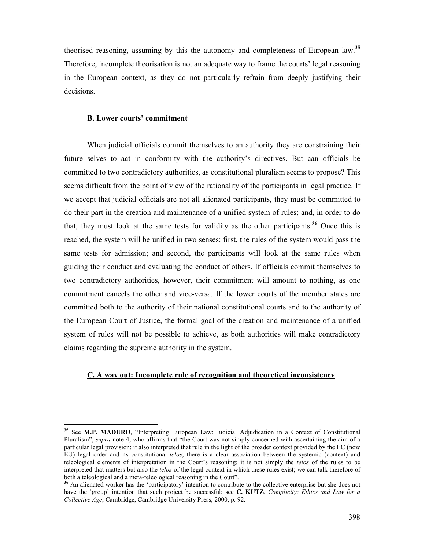theorised reasoning, assuming by this the autonomy and completeness of European law.<sup>35</sup> Therefore, incomplete theorisation is not an adequate way to frame the courts' legal reasoning in the European context, as they do not particularly refrain from deeply justifying their decisions.

# B. Lower courts' commitment

 $\overline{a}$ 

When judicial officials commit themselves to an authority they are constraining their future selves to act in conformity with the authority's directives. But can officials be committed to two contradictory authorities, as constitutional pluralism seems to propose? This seems difficult from the point of view of the rationality of the participants in legal practice. If we accept that judicial officials are not all alienated participants, they must be committed to do their part in the creation and maintenance of a unified system of rules; and, in order to do that, they must look at the same tests for validity as the other participants.<sup>36</sup> Once this is reached, the system will be unified in two senses: first, the rules of the system would pass the same tests for admission; and second, the participants will look at the same rules when guiding their conduct and evaluating the conduct of others. If officials commit themselves to two contradictory authorities, however, their commitment will amount to nothing, as one commitment cancels the other and vice-versa. If the lower courts of the member states are committed both to the authority of their national constitutional courts and to the authority of the European Court of Justice, the formal goal of the creation and maintenance of a unified system of rules will not be possible to achieve, as both authorities will make contradictory claims regarding the supreme authority in the system.

#### C. A way out: Incomplete rule of recognition and theoretical inconsistency

<sup>&</sup>lt;sup>35</sup> See M.P. MADURO, "Interpreting European Law: Judicial Adjudication in a Context of Constitutional Pluralism", *supra* note 4; who affirms that "the Court was not simply concerned with ascertaining the aim of a particular legal provision; it also interpreted that rule in the light of the broader context provided by the EC (now EU) legal order and its constitutional telos; there is a clear association between the systemic (context) and teleological elements of interpretation in the Court's reasoning; it is not simply the telos of the rules to be interpreted that matters but also the *telos* of the legal context in which these rules exist; we can talk therefore of both a teleological and a meta-teleological reasoning in the Court".

<sup>&</sup>lt;sup>36</sup> An alienated worker has the 'participatory' intention to contribute to the collective enterprise but she does not have the 'group' intention that such project be successful; see C. KUTZ, Complicity: Ethics and Law for a Collective Age, Cambridge, Cambridge University Press, 2000, p. 92.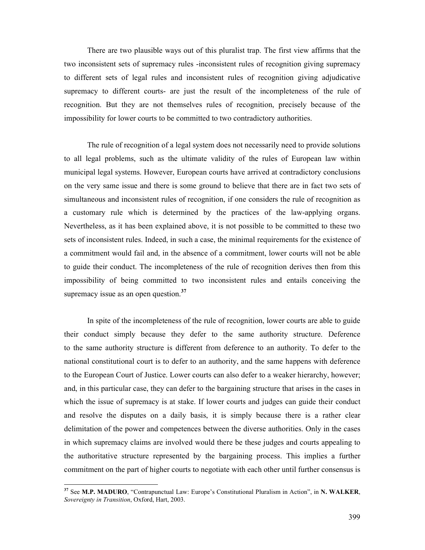There are two plausible ways out of this pluralist trap. The first view affirms that the two inconsistent sets of supremacy rules -inconsistent rules of recognition giving supremacy to different sets of legal rules and inconsistent rules of recognition giving adjudicative supremacy to different courts- are just the result of the incompleteness of the rule of recognition. But they are not themselves rules of recognition, precisely because of the impossibility for lower courts to be committed to two contradictory authorities.

The rule of recognition of a legal system does not necessarily need to provide solutions to all legal problems, such as the ultimate validity of the rules of European law within municipal legal systems. However, European courts have arrived at contradictory conclusions on the very same issue and there is some ground to believe that there are in fact two sets of simultaneous and inconsistent rules of recognition, if one considers the rule of recognition as a customary rule which is determined by the practices of the law-applying organs. Nevertheless, as it has been explained above, it is not possible to be committed to these two sets of inconsistent rules. Indeed, in such a case, the minimal requirements for the existence of a commitment would fail and, in the absence of a commitment, lower courts will not be able to guide their conduct. The incompleteness of the rule of recognition derives then from this impossibility of being committed to two inconsistent rules and entails conceiving the supremacy issue as an open question.<sup>37</sup>

In spite of the incompleteness of the rule of recognition, lower courts are able to guide their conduct simply because they defer to the same authority structure. Deference to the same authority structure is different from deference to an authority. To defer to the national constitutional court is to defer to an authority, and the same happens with deference to the European Court of Justice. Lower courts can also defer to a weaker hierarchy, however; and, in this particular case, they can defer to the bargaining structure that arises in the cases in which the issue of supremacy is at stake. If lower courts and judges can guide their conduct and resolve the disputes on a daily basis, it is simply because there is a rather clear delimitation of the power and competences between the diverse authorities. Only in the cases in which supremacy claims are involved would there be these judges and courts appealing to the authoritative structure represented by the bargaining process. This implies a further commitment on the part of higher courts to negotiate with each other until further consensus is

 $37$  See M.P. MADURO, "Contrapunctual Law: Europe's Constitutional Pluralism in Action", in N. WALKER, Sovereignty in Transition, Oxford, Hart, 2003.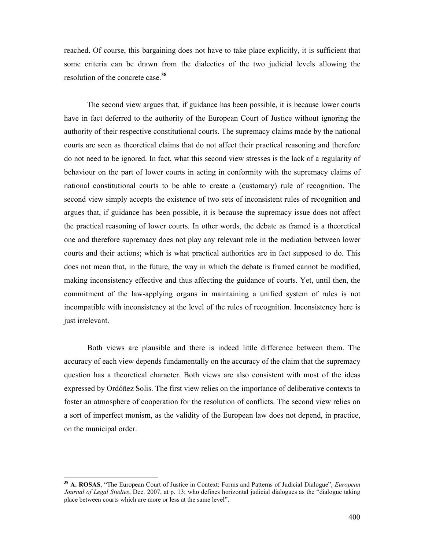reached. Of course, this bargaining does not have to take place explicitly, it is sufficient that some criteria can be drawn from the dialectics of the two judicial levels allowing the resolution of the concrete case.<sup>38</sup>

The second view argues that, if guidance has been possible, it is because lower courts have in fact deferred to the authority of the European Court of Justice without ignoring the authority of their respective constitutional courts. The supremacy claims made by the national courts are seen as theoretical claims that do not affect their practical reasoning and therefore do not need to be ignored. In fact, what this second view stresses is the lack of a regularity of behaviour on the part of lower courts in acting in conformity with the supremacy claims of national constitutional courts to be able to create a (customary) rule of recognition. The second view simply accepts the existence of two sets of inconsistent rules of recognition and argues that, if guidance has been possible, it is because the supremacy issue does not affect the practical reasoning of lower courts. In other words, the debate as framed is a theoretical one and therefore supremacy does not play any relevant role in the mediation between lower courts and their actions; which is what practical authorities are in fact supposed to do. This does not mean that, in the future, the way in which the debate is framed cannot be modified, making inconsistency effective and thus affecting the guidance of courts. Yet, until then, the commitment of the law-applying organs in maintaining a unified system of rules is not incompatible with inconsistency at the level of the rules of recognition. Inconsistency here is just irrelevant.

Both views are plausible and there is indeed little difference between them. The accuracy of each view depends fundamentally on the accuracy of the claim that the supremacy question has a theoretical character. Both views are also consistent with most of the ideas expressed by Ordóñez Solis. The first view relies on the importance of deliberative contexts to foster an atmosphere of cooperation for the resolution of conflicts. The second view relies on a sort of imperfect monism, as the validity of the European law does not depend, in practice, on the municipal order.

<sup>&</sup>lt;sup>38</sup> A. ROSAS, "The European Court of Justice in Context: Forms and Patterns of Judicial Dialogue", European Journal of Legal Studies, Dec. 2007, at p. 13; who defines horizontal judicial dialogues as the "dialogue taking place between courts which are more or less at the same level".